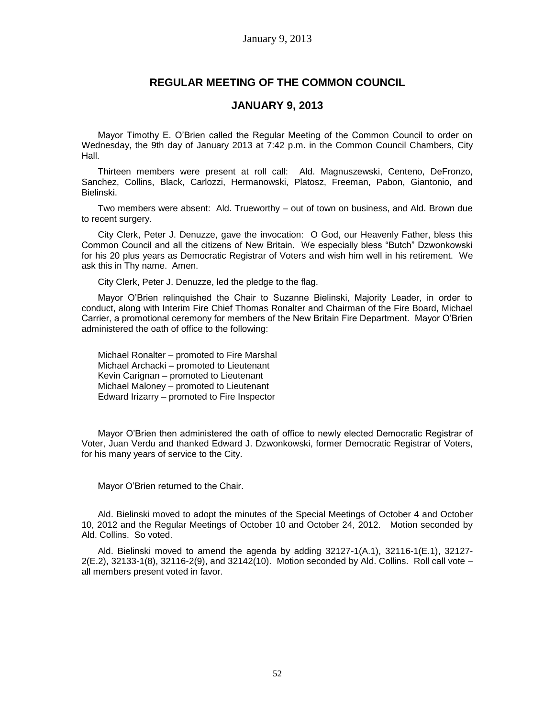# **REGULAR MEETING OF THE COMMON COUNCIL**

## **JANUARY 9, 2013**

Mayor Timothy E. O'Brien called the Regular Meeting of the Common Council to order on Wednesday, the 9th day of January 2013 at 7:42 p.m. in the Common Council Chambers, City Hall.

Thirteen members were present at roll call: Ald. Magnuszewski, Centeno, DeFronzo, Sanchez, Collins, Black, Carlozzi, Hermanowski, Platosz, Freeman, Pabon, Giantonio, and Bielinski.

Two members were absent: Ald. Trueworthy – out of town on business, and Ald. Brown due to recent surgery.

City Clerk, Peter J. Denuzze, gave the invocation: O God, our Heavenly Father, bless this Common Council and all the citizens of New Britain. We especially bless "Butch" Dzwonkowski for his 20 plus years as Democratic Registrar of Voters and wish him well in his retirement. We ask this in Thy name. Amen.

City Clerk, Peter J. Denuzze, led the pledge to the flag.

Mayor O'Brien relinquished the Chair to Suzanne Bielinski, Majority Leader, in order to conduct, along with Interim Fire Chief Thomas Ronalter and Chairman of the Fire Board, Michael Carrier, a promotional ceremony for members of the New Britain Fire Department. Mayor O'Brien administered the oath of office to the following:

Michael Ronalter – promoted to Fire Marshal Michael Archacki – promoted to Lieutenant Kevin Carignan – promoted to Lieutenant Michael Maloney – promoted to Lieutenant Edward Irizarry – promoted to Fire Inspector

Mayor O'Brien then administered the oath of office to newly elected Democratic Registrar of Voter, Juan Verdu and thanked Edward J. Dzwonkowski, former Democratic Registrar of Voters, for his many years of service to the City.

Mayor O'Brien returned to the Chair.

Ald. Bielinski moved to adopt the minutes of the Special Meetings of October 4 and October 10, 2012 and the Regular Meetings of October 10 and October 24, 2012. Motion seconded by Ald. Collins. So voted.

Ald. Bielinski moved to amend the agenda by adding  $32127-1(A.1)$ ,  $32116-1(E.1)$ ,  $32127-1(E.1)$ 2(E.2), 32133-1(8), 32116-2(9), and 32142(10). Motion seconded by Ald. Collins. Roll call vote – all members present voted in favor.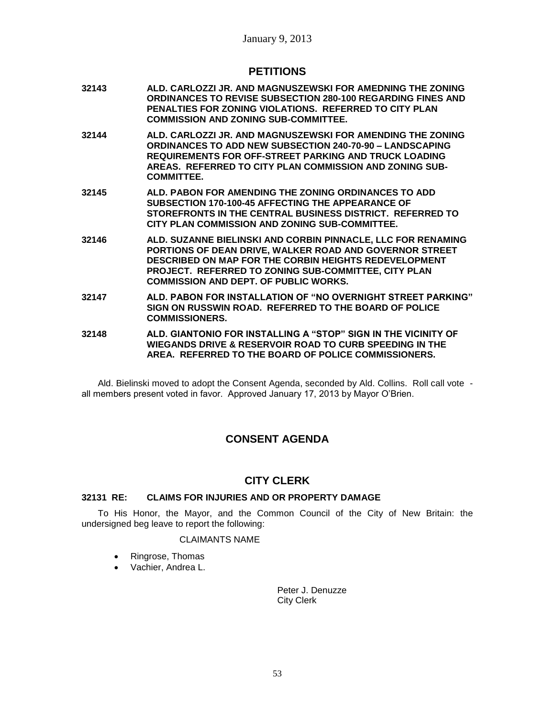## **PETITIONS**

- **32143 ALD. CARLOZZI JR. AND MAGNUSZEWSKI FOR AMEDNING THE ZONING ORDINANCES TO REVISE SUBSECTION 280-100 REGARDING FINES AND PENALTIES FOR ZONING VIOLATIONS. REFERRED TO CITY PLAN COMMISSION AND ZONING SUB-COMMITTEE.**
- **32144 ALD. CARLOZZI JR. AND MAGNUSZEWSKI FOR AMENDING THE ZONING ORDINANCES TO ADD NEW SUBSECTION 240-70-90 – LANDSCAPING REQUIREMENTS FOR OFF-STREET PARKING AND TRUCK LOADING AREAS. REFERRED TO CITY PLAN COMMISSION AND ZONING SUB-COMMITTEE.**
- **32145 ALD. PABON FOR AMENDING THE ZONING ORDINANCES TO ADD SUBSECTION 170-100-45 AFFECTING THE APPEARANCE OF STOREFRONTS IN THE CENTRAL BUSINESS DISTRICT. REFERRED TO CITY PLAN COMMISSION AND ZONING SUB-COMMITTEE.**
- **32146 ALD. SUZANNE BIELINSKI AND CORBIN PINNACLE, LLC FOR RENAMING PORTIONS OF DEAN DRIVE, WALKER ROAD AND GOVERNOR STREET DESCRIBED ON MAP FOR THE CORBIN HEIGHTS REDEVELOPMENT PROJECT. REFERRED TO ZONING SUB-COMMITTEE, CITY PLAN COMMISSION AND DEPT. OF PUBLIC WORKS.**
- **32147 ALD. PABON FOR INSTALLATION OF "NO OVERNIGHT STREET PARKING" SIGN ON RUSSWIN ROAD. REFERRED TO THE BOARD OF POLICE COMMISSIONERS.**
- **32148 ALD. GIANTONIO FOR INSTALLING A "STOP" SIGN IN THE VICINITY OF WIEGANDS DRIVE & RESERVOIR ROAD TO CURB SPEEDING IN THE AREA. REFERRED TO THE BOARD OF POLICE COMMISSIONERS.**

Ald. Bielinski moved to adopt the Consent Agenda, seconded by Ald. Collins. Roll call vote all members present voted in favor. Approved January 17, 2013 by Mayor O'Brien.

# **CONSENT AGENDA**

# **CITY CLERK**

## **32131 RE: CLAIMS FOR INJURIES AND OR PROPERTY DAMAGE**

To His Honor, the Mayor, and the Common Council of the City of New Britain: the undersigned beg leave to report the following:

### CLAIMANTS NAME

- Ringrose, Thomas
- Vachier, Andrea L.

Peter J. Denuzze City Clerk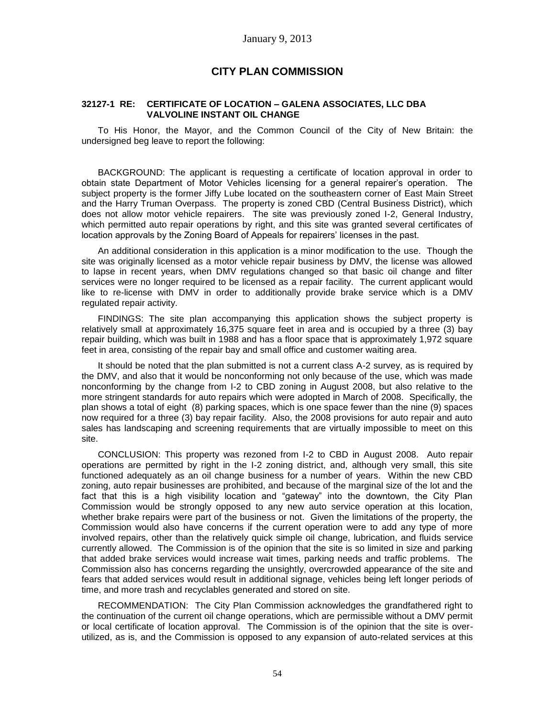# **CITY PLAN COMMISSION**

### **32127-1 RE: CERTIFICATE OF LOCATION – GALENA ASSOCIATES, LLC DBA VALVOLINE INSTANT OIL CHANGE**

To His Honor, the Mayor, and the Common Council of the City of New Britain: the undersigned beg leave to report the following:

BACKGROUND: The applicant is requesting a certificate of location approval in order to obtain state Department of Motor Vehicles licensing for a general repairer's operation. The subject property is the former Jiffy Lube located on the southeastern corner of East Main Street and the Harry Truman Overpass. The property is zoned CBD (Central Business District), which does not allow motor vehicle repairers. The site was previously zoned I-2, General Industry, which permitted auto repair operations by right, and this site was granted several certificates of location approvals by the Zoning Board of Appeals for repairers' licenses in the past.

An additional consideration in this application is a minor modification to the use. Though the site was originally licensed as a motor vehicle repair business by DMV, the license was allowed to lapse in recent years, when DMV regulations changed so that basic oil change and filter services were no longer required to be licensed as a repair facility. The current applicant would like to re-license with DMV in order to additionally provide brake service which is a DMV regulated repair activity.

FINDINGS: The site plan accompanying this application shows the subject property is relatively small at approximately 16,375 square feet in area and is occupied by a three (3) bay repair building, which was built in 1988 and has a floor space that is approximately 1,972 square feet in area, consisting of the repair bay and small office and customer waiting area.

It should be noted that the plan submitted is not a current class A-2 survey, as is required by the DMV, and also that it would be nonconforming not only because of the use, which was made nonconforming by the change from I-2 to CBD zoning in August 2008, but also relative to the more stringent standards for auto repairs which were adopted in March of 2008. Specifically, the plan shows a total of eight (8) parking spaces, which is one space fewer than the nine (9) spaces now required for a three (3) bay repair facility. Also, the 2008 provisions for auto repair and auto sales has landscaping and screening requirements that are virtually impossible to meet on this site.

CONCLUSION: This property was rezoned from I-2 to CBD in August 2008. Auto repair operations are permitted by right in the I-2 zoning district, and, although very small, this site functioned adequately as an oil change business for a number of years. Within the new CBD zoning, auto repair businesses are prohibited, and because of the marginal size of the lot and the fact that this is a high visibility location and "gateway" into the downtown, the City Plan Commission would be strongly opposed to any new auto service operation at this location, whether brake repairs were part of the business or not. Given the limitations of the property, the Commission would also have concerns if the current operation were to add any type of more involved repairs, other than the relatively quick simple oil change, lubrication, and fluids service currently allowed. The Commission is of the opinion that the site is so limited in size and parking that added brake services would increase wait times, parking needs and traffic problems. The Commission also has concerns regarding the unsightly, overcrowded appearance of the site and fears that added services would result in additional signage, vehicles being left longer periods of time, and more trash and recyclables generated and stored on site.

RECOMMENDATION: The City Plan Commission acknowledges the grandfathered right to the continuation of the current oil change operations, which are permissible without a DMV permit or local certificate of location approval. The Commission is of the opinion that the site is overutilized, as is, and the Commission is opposed to any expansion of auto-related services at this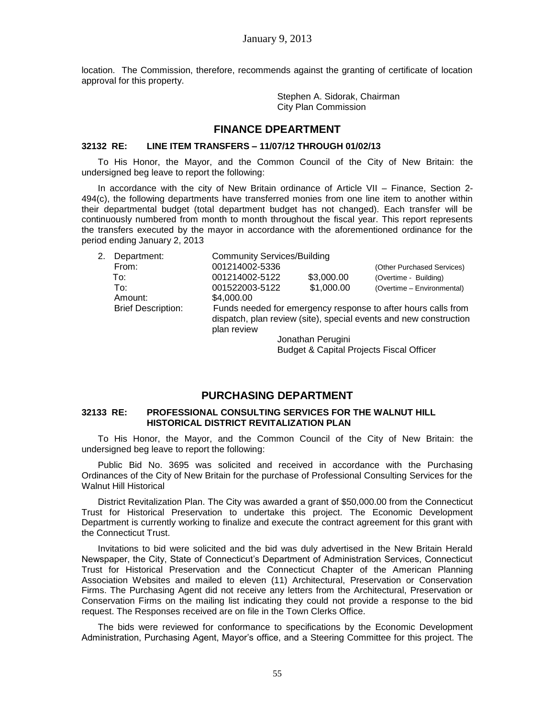location. The Commission, therefore, recommends against the granting of certificate of location approval for this property.

> Stephen A. Sidorak, Chairman City Plan Commission

## **FINANCE DPEARTMENT**

#### **32132 RE: LINE ITEM TRANSFERS – 11/07/12 THROUGH 01/02/13**

To His Honor, the Mayor, and the Common Council of the City of New Britain: the undersigned beg leave to report the following:

In accordance with the city of New Britain ordinance of Article VII – Finance, Section 2- 494(c), the following departments have transferred monies from one line item to another within their departmental budget (total department budget has not changed). Each transfer will be continuously numbered from month to month throughout the fiscal year. This report represents the transfers executed by the mayor in accordance with the aforementioned ordinance for the period ending January 2, 2013

| 2. | Department:               | <b>Community Services/Building</b>                                                                                                                |            |                            |  |  |
|----|---------------------------|---------------------------------------------------------------------------------------------------------------------------------------------------|------------|----------------------------|--|--|
|    | From:                     | 001214002-5336                                                                                                                                    |            | (Other Purchased Services) |  |  |
|    | To:                       | 001214002-5122                                                                                                                                    | \$3,000.00 | (Overtime - Building)      |  |  |
|    | To:                       | 001522003-5122                                                                                                                                    | \$1,000.00 | (Overtime - Environmental) |  |  |
|    | Amount:                   | \$4,000,00                                                                                                                                        |            |                            |  |  |
|    | <b>Brief Description:</b> | Funds needed for emergency response to after hours calls from<br>dispatch, plan review (site), special events and new construction<br>plan review |            |                            |  |  |
|    |                           | Jonathan Perugini                                                                                                                                 |            |                            |  |  |
|    |                           | <b>Budget &amp; Capital Projects Fiscal Officer</b>                                                                                               |            |                            |  |  |

# **PURCHASING DEPARTMENT**

### **32133 RE: PROFESSIONAL CONSULTING SERVICES FOR THE WALNUT HILL HISTORICAL DISTRICT REVITALIZATION PLAN**

To His Honor, the Mayor, and the Common Council of the City of New Britain: the undersigned beg leave to report the following:

Public Bid No. 3695 was solicited and received in accordance with the Purchasing Ordinances of the City of New Britain for the purchase of Professional Consulting Services for the Walnut Hill Historical

District Revitalization Plan. The City was awarded a grant of \$50,000.00 from the Connecticut Trust for Historical Preservation to undertake this project. The Economic Development Department is currently working to finalize and execute the contract agreement for this grant with the Connecticut Trust.

Invitations to bid were solicited and the bid was duly advertised in the New Britain Herald Newspaper, the City, State of Connecticut's Department of Administration Services, Connecticut Trust for Historical Preservation and the Connecticut Chapter of the American Planning Association Websites and mailed to eleven (11) Architectural, Preservation or Conservation Firms. The Purchasing Agent did not receive any letters from the Architectural, Preservation or Conservation Firms on the mailing list indicating they could not provide a response to the bid request. The Responses received are on file in the Town Clerks Office.

The bids were reviewed for conformance to specifications by the Economic Development Administration, Purchasing Agent, Mayor's office, and a Steering Committee for this project. The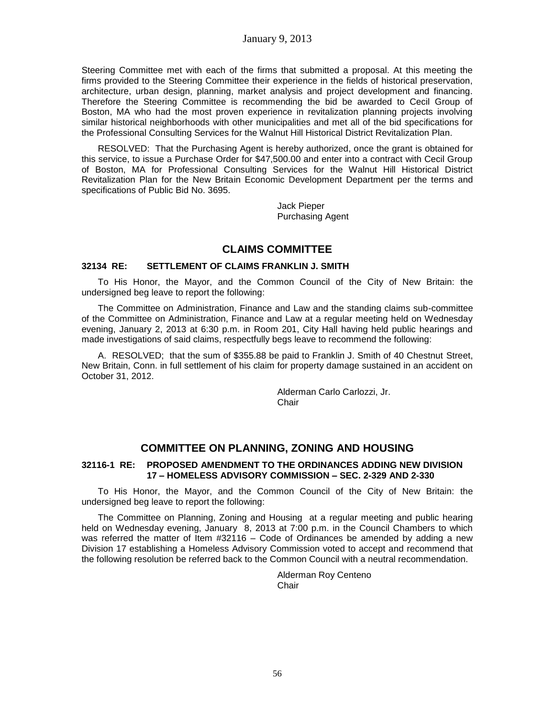Steering Committee met with each of the firms that submitted a proposal. At this meeting the firms provided to the Steering Committee their experience in the fields of historical preservation, architecture, urban design, planning, market analysis and project development and financing. Therefore the Steering Committee is recommending the bid be awarded to Cecil Group of Boston, MA who had the most proven experience in revitalization planning projects involving similar historical neighborhoods with other municipalities and met all of the bid specifications for the Professional Consulting Services for the Walnut Hill Historical District Revitalization Plan.

RESOLVED: That the Purchasing Agent is hereby authorized, once the grant is obtained for this service, to issue a Purchase Order for \$47,500.00 and enter into a contract with Cecil Group of Boston, MA for Professional Consulting Services for the Walnut Hill Historical District Revitalization Plan for the New Britain Economic Development Department per the terms and specifications of Public Bid No. 3695.

> Jack Pieper Purchasing Agent

## **CLAIMS COMMITTEE**

## **32134 RE: SETTLEMENT OF CLAIMS FRANKLIN J. SMITH**

To His Honor, the Mayor, and the Common Council of the City of New Britain: the undersigned beg leave to report the following:

The Committee on Administration, Finance and Law and the standing claims sub-committee of the Committee on Administration, Finance and Law at a regular meeting held on Wednesday evening, January 2, 2013 at 6:30 p.m. in Room 201, City Hall having held public hearings and made investigations of said claims, respectfully begs leave to recommend the following:

A. RESOLVED; that the sum of \$355.88 be paid to Franklin J. Smith of 40 Chestnut Street, New Britain, Conn. in full settlement of his claim for property damage sustained in an accident on October 31, 2012.

> Alderman Carlo Carlozzi, Jr. Chair

# **COMMITTEE ON PLANNING, ZONING AND HOUSING**

### **32116-1 RE: PROPOSED AMENDMENT TO THE ORDINANCES ADDING NEW DIVISION 17 – HOMELESS ADVISORY COMMISSION – SEC. 2-329 AND 2-330**

To His Honor, the Mayor, and the Common Council of the City of New Britain: the undersigned beg leave to report the following:

The Committee on Planning, Zoning and Housing at a regular meeting and public hearing held on Wednesday evening, January 8, 2013 at 7:00 p.m. in the Council Chambers to which was referred the matter of Item #32116 – Code of Ordinances be amended by adding a new Division 17 establishing a Homeless Advisory Commission voted to accept and recommend that the following resolution be referred back to the Common Council with a neutral recommendation.

> Alderman Roy Centeno **Chair**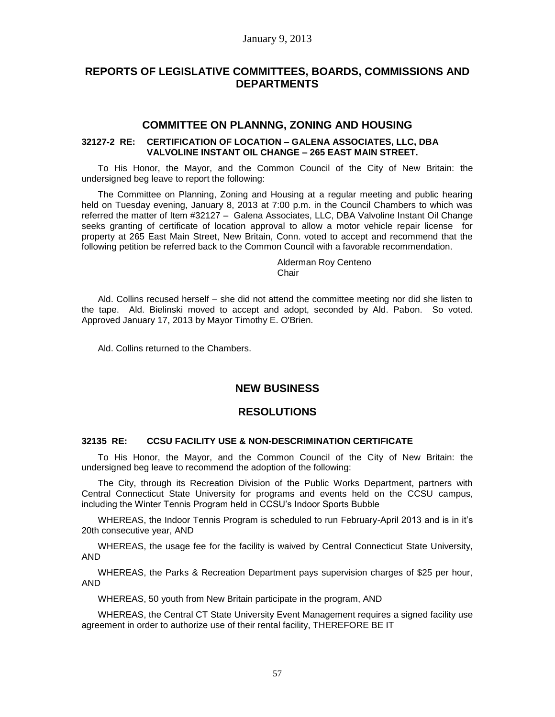# **REPORTS OF LEGISLATIVE COMMITTEES, BOARDS, COMMISSIONS AND DEPARTMENTS**

## **COMMITTEE ON PLANNNG, ZONING AND HOUSING**

### **32127-2 RE: CERTIFICATION OF LOCATION – GALENA ASSOCIATES, LLC, DBA VALVOLINE INSTANT OIL CHANGE – 265 EAST MAIN STREET.**

To His Honor, the Mayor, and the Common Council of the City of New Britain: the undersigned beg leave to report the following:

The Committee on Planning, Zoning and Housing at a regular meeting and public hearing held on Tuesday evening, January 8, 2013 at 7:00 p.m. in the Council Chambers to which was referred the matter of Item #32127 – Galena Associates, LLC, DBA Valvoline Instant Oil Change seeks granting of certificate of location approval to allow a motor vehicle repair license for property at 265 East Main Street, New Britain, Conn. voted to accept and recommend that the following petition be referred back to the Common Council with a favorable recommendation.

#### Alderman Roy Centeno **Chair**

Ald. Collins recused herself – she did not attend the committee meeting nor did she listen to the tape. Ald. Bielinski moved to accept and adopt, seconded by Ald. Pabon. So voted. Approved January 17, 2013 by Mayor Timothy E. O'Brien.

Ald. Collins returned to the Chambers.

# **NEW BUSINESS**

# **RESOLUTIONS**

### **32135 RE: CCSU FACILITY USE & NON-DESCRIMINATION CERTIFICATE**

To His Honor, the Mayor, and the Common Council of the City of New Britain: the undersigned beg leave to recommend the adoption of the following:

The City, through its Recreation Division of the Public Works Department, partners with Central Connecticut State University for programs and events held on the CCSU campus, including the Winter Tennis Program held in CCSU's Indoor Sports Bubble

WHEREAS, the Indoor Tennis Program is scheduled to run February-April 2013 and is in it's 20th consecutive year, AND

WHEREAS, the usage fee for the facility is waived by Central Connecticut State University, AND

WHEREAS, the Parks & Recreation Department pays supervision charges of \$25 per hour, AND

WHEREAS, 50 youth from New Britain participate in the program, AND

WHEREAS, the Central CT State University Event Management requires a signed facility use agreement in order to authorize use of their rental facility, THEREFORE BE IT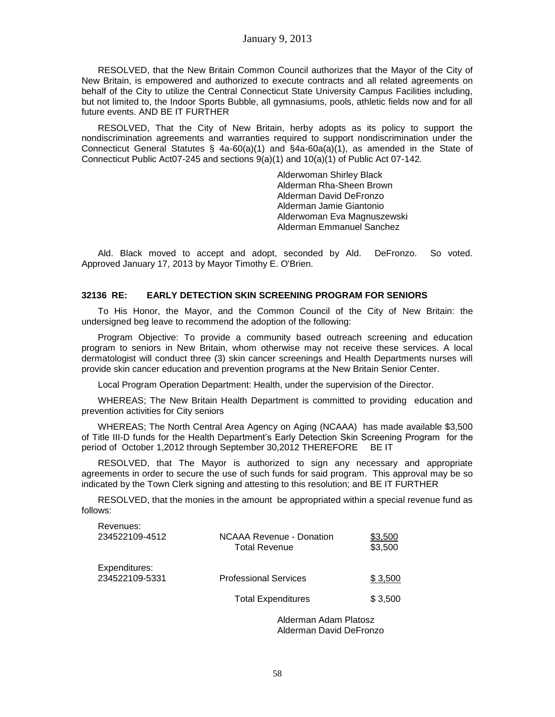RESOLVED, that the New Britain Common Council authorizes that the Mayor of the City of New Britain, is empowered and authorized to execute contracts and all related agreements on behalf of the City to utilize the Central Connecticut State University Campus Facilities including, but not limited to, the Indoor Sports Bubble, all gymnasiums, pools, athletic fields now and for all future events. AND BE IT FURTHER

RESOLVED, That the City of New Britain, herby adopts as its policy to support the nondiscrimination agreements and warranties required to support nondiscrimination under the Connecticut General Statutes § 4a-60(a)(1) and §4a-60a(a)(1), as amended in the State of Connecticut Public Act07-245 and sections 9(a)(1) and 10(a)(1) of Public Act 07-142.

> Alderwoman Shirley Black Alderman Rha-Sheen Brown Alderman David DeFronzo Alderman Jamie Giantonio Alderwoman Eva Magnuszewski Alderman Emmanuel Sanchez

Ald. Black moved to accept and adopt, seconded by Ald. DeFronzo. So voted. Approved January 17, 2013 by Mayor Timothy E. O'Brien.

### **32136 RE: EARLY DETECTION SKIN SCREENING PROGRAM FOR SENIORS**

To His Honor, the Mayor, and the Common Council of the City of New Britain: the undersigned beg leave to recommend the adoption of the following:

Program Objective: To provide a community based outreach screening and education program to seniors in New Britain, whom otherwise may not receive these services. A local dermatologist will conduct three (3) skin cancer screenings and Health Departments nurses will provide skin cancer education and prevention programs at the New Britain Senior Center.

Local Program Operation Department: Health, under the supervision of the Director.

WHEREAS; The New Britain Health Department is committed to providing education and prevention activities for City seniors

WHEREAS; The North Central Area Agency on Aging (NCAAA) has made available \$3,500 of Title III-D funds for the Health Department's Early Detection Skin Screening Program for the period of October 1,2012 through September 30,2012 THEREFORE BE IT

RESOLVED, that The Mayor is authorized to sign any necessary and appropriate agreements in order to secure the use of such funds for said program. This approval may be so indicated by the Town Clerk signing and attesting to this resolution; and BE IT FURTHER

RESOLVED, that the monies in the amount be appropriated within a special revenue fund as follows:

|                                 | Aldermean Adama Dletes-                                 |                    |
|---------------------------------|---------------------------------------------------------|--------------------|
|                                 | <b>Total Expenditures</b>                               | \$3,500            |
| Expenditures:<br>234522109-5331 | <b>Professional Services</b>                            | \$3,500            |
| Revenues:<br>234522109-4512     | <b>NCAAA Revenue - Donation</b><br><b>Total Revenue</b> | \$3,500<br>\$3,500 |

Alderman Adam Platosz Alderman David DeFronzo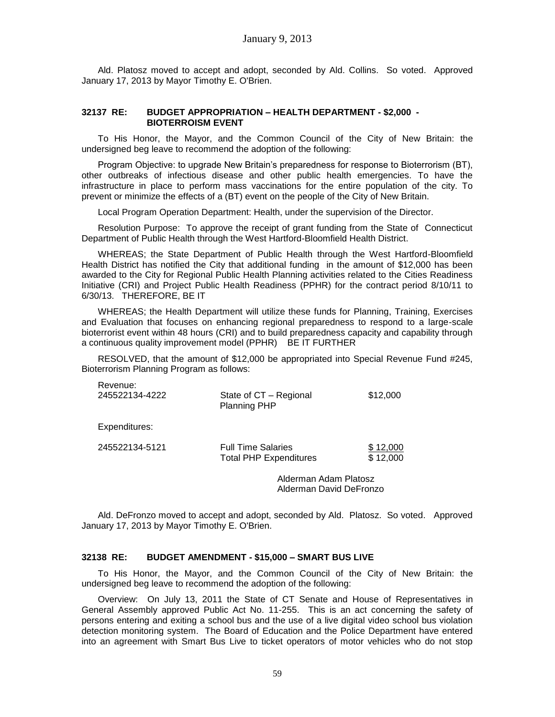Ald. Platosz moved to accept and adopt, seconded by Ald. Collins. So voted. Approved January 17, 2013 by Mayor Timothy E. O'Brien.

### **32137 RE: BUDGET APPROPRIATION – HEALTH DEPARTMENT - \$2,000 - BIOTERROISM EVENT**

To His Honor, the Mayor, and the Common Council of the City of New Britain: the undersigned beg leave to recommend the adoption of the following:

Program Objective: to upgrade New Britain's preparedness for response to Bioterrorism (BT), other outbreaks of infectious disease and other public health emergencies. To have the infrastructure in place to perform mass vaccinations for the entire population of the city. To prevent or minimize the effects of a (BT) event on the people of the City of New Britain.

Local Program Operation Department: Health, under the supervision of the Director.

Resolution Purpose: To approve the receipt of grant funding from the State of Connecticut Department of Public Health through the West Hartford-Bloomfield Health District.

WHEREAS; the State Department of Public Health through the West Hartford-Bloomfield Health District has notified the City that additional funding in the amount of \$12,000 has been awarded to the City for Regional Public Health Planning activities related to the Cities Readiness Initiative (CRI) and Project Public Health Readiness (PPHR) for the contract period 8/10/11 to 6/30/13. THEREFORE, BE IT

WHEREAS; the Health Department will utilize these funds for Planning, Training, Exercises and Evaluation that focuses on enhancing regional preparedness to respond to a large-scale bioterrorist event within 48 hours (CRI) and to build preparedness capacity and capability through a continuous quality improvement model (PPHR) BE IT FURTHER

RESOLVED, that the amount of \$12,000 be appropriated into Special Revenue Fund #245, Bioterrorism Planning Program as follows:

| Revenue.<br>245522134-4222 | State of CT - Regional<br><b>Planning PHP</b>              | \$12,000             |
|----------------------------|------------------------------------------------------------|----------------------|
| Expenditures:              |                                                            |                      |
| 245522134-5121             | <b>Full Time Salaries</b><br><b>Total PHP Expenditures</b> | \$12,000<br>\$12,000 |

Revenue:

Alderman Adam Platosz Alderman David DeFronzo

Ald. DeFronzo moved to accept and adopt, seconded by Ald. Platosz. So voted. Approved January 17, 2013 by Mayor Timothy E. O'Brien.

### **32138 RE: BUDGET AMENDMENT - \$15,000 – SMART BUS LIVE**

To His Honor, the Mayor, and the Common Council of the City of New Britain: the undersigned beg leave to recommend the adoption of the following:

Overview: On July 13, 2011 the State of CT Senate and House of Representatives in General Assembly approved Public Act No. 11-255. This is an act concerning the safety of persons entering and exiting a school bus and the use of a live digital video school bus violation detection monitoring system. The Board of Education and the Police Department have entered into an agreement with Smart Bus Live to ticket operators of motor vehicles who do not stop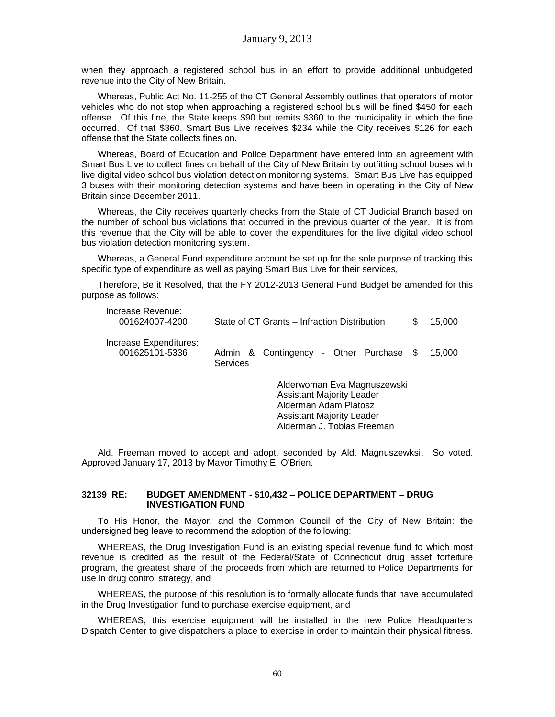when they approach a registered school bus in an effort to provide additional unbudgeted revenue into the City of New Britain.

Whereas, Public Act No. 11-255 of the CT General Assembly outlines that operators of motor vehicles who do not stop when approaching a registered school bus will be fined \$450 for each offense. Of this fine, the State keeps \$90 but remits \$360 to the municipality in which the fine occurred. Of that \$360, Smart Bus Live receives \$234 while the City receives \$126 for each offense that the State collects fines on.

Whereas, Board of Education and Police Department have entered into an agreement with Smart Bus Live to collect fines on behalf of the City of New Britain by outfitting school buses with live digital video school bus violation detection monitoring systems. Smart Bus Live has equipped 3 buses with their monitoring detection systems and have been in operating in the City of New Britain since December 2011.

Whereas, the City receives quarterly checks from the State of CT Judicial Branch based on the number of school bus violations that occurred in the previous quarter of the year. It is from this revenue that the City will be able to cover the expenditures for the live digital video school bus violation detection monitoring system.

Whereas, a General Fund expenditure account be set up for the sole purpose of tracking this specific type of expenditure as well as paying Smart Bus Live for their services,

Therefore, Be it Resolved, that the FY 2012-2013 General Fund Budget be amended for this purpose as follows:

| Increase Revenue:<br>001624007-4200      | State of CT Grants – Infraction Distribution                                                                          | S | 15,000 |
|------------------------------------------|-----------------------------------------------------------------------------------------------------------------------|---|--------|
| Increase Expenditures:<br>001625101-5336 | Admin & Contingency - Other Purchase \$<br>Services                                                                   |   | 15,000 |
|                                          | Alderwoman Eva Magnuszewski<br><b>Assistant Majority Leader</b><br>Alderman Adam Platosz<br>Assistant Maiority Leader |   |        |

Ald. Freeman moved to accept and adopt, seconded by Ald. Magnuszewksi. So voted. Approved January 17, 2013 by Mayor Timothy E. O'Brien.

Alderman J. Tobias Freeman

#### **32139 RE: BUDGET AMENDMENT - \$10,432 – POLICE DEPARTMENT – DRUG INVESTIGATION FUND**

To His Honor, the Mayor, and the Common Council of the City of New Britain: the undersigned beg leave to recommend the adoption of the following:

WHEREAS, the Drug Investigation Fund is an existing special revenue fund to which most revenue is credited as the result of the Federal/State of Connecticut drug asset forfeiture program, the greatest share of the proceeds from which are returned to Police Departments for use in drug control strategy, and

WHEREAS, the purpose of this resolution is to formally allocate funds that have accumulated in the Drug Investigation fund to purchase exercise equipment, and

WHEREAS, this exercise equipment will be installed in the new Police Headquarters Dispatch Center to give dispatchers a place to exercise in order to maintain their physical fitness.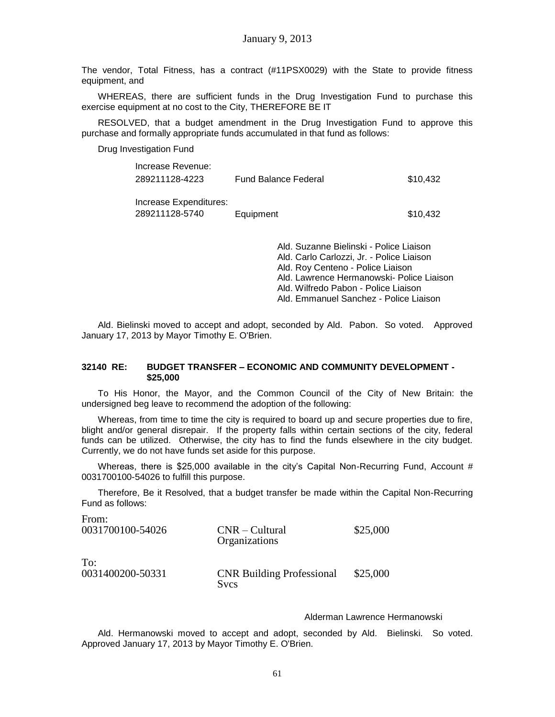The vendor, Total Fitness, has a contract (#11PSX0029) with the State to provide fitness equipment, and

WHEREAS, there are sufficient funds in the Drug Investigation Fund to purchase this exercise equipment at no cost to the City, THEREFORE BE IT

RESOLVED, that a budget amendment in the Drug Investigation Fund to approve this purchase and formally appropriate funds accumulated in that fund as follows:

Drug Investigation Fund

From:

| Increase Revenue:      |                             |          |
|------------------------|-----------------------------|----------|
| 289211128-4223         | <b>Fund Balance Federal</b> | \$10.432 |
|                        |                             |          |
| Increase Expenditures: |                             |          |
| 289211128-5740         | Equipment                   | \$10,432 |

Ald. Suzanne Bielinski - Police Liaison Ald. Carlo Carlozzi, Jr. - Police Liaison Ald. Roy Centeno - Police Liaison Ald. Lawrence Hermanowski- Police Liaison Ald. Wilfredo Pabon - Police Liaison Ald. Emmanuel Sanchez - Police Liaison

Ald. Bielinski moved to accept and adopt, seconded by Ald. Pabon. So voted. Approved January 17, 2013 by Mayor Timothy E. O'Brien.

### **32140 RE: BUDGET TRANSFER – ECONOMIC AND COMMUNITY DEVELOPMENT - \$25,000**

To His Honor, the Mayor, and the Common Council of the City of New Britain: the undersigned beg leave to recommend the adoption of the following:

Whereas, from time to time the city is required to board up and secure properties due to fire, blight and/or general disrepair. If the property falls within certain sections of the city, federal funds can be utilized. Otherwise, the city has to find the funds elsewhere in the city budget. Currently, we do not have funds set aside for this purpose.

Whereas, there is \$25,000 available in the city's Capital Non-Recurring Fund, Account  $#$ 0031700100-54026 to fulfill this purpose.

Therefore, Be it Resolved, that a budget transfer be made within the Capital Non-Recurring Fund as follows:

| TTUHL.<br>0031700100-54026 | $CNR - Cultural$<br>Organizations               | \$25,000 |
|----------------------------|-------------------------------------------------|----------|
| To:<br>0031400200-50331    | <b>CNR Building Professional</b><br><b>Svcs</b> | \$25,000 |

### Alderman Lawrence Hermanowski

Ald. Hermanowski moved to accept and adopt, seconded by Ald. Bielinski. So voted. Approved January 17, 2013 by Mayor Timothy E. O'Brien.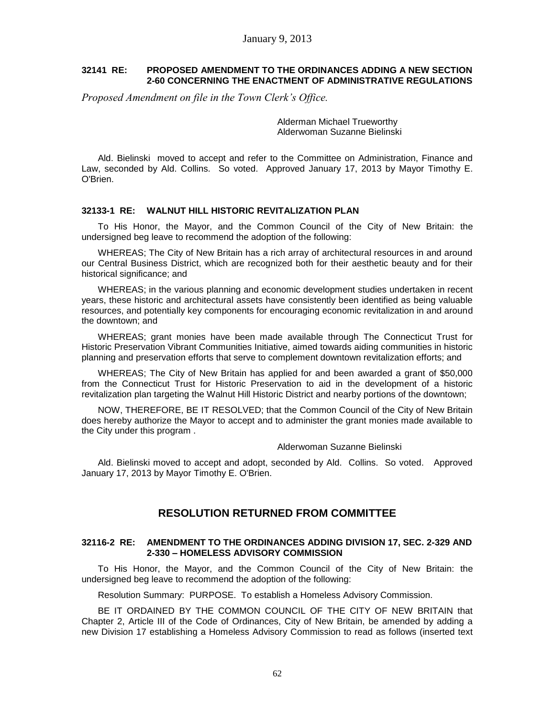### **32141 RE: PROPOSED AMENDMENT TO THE ORDINANCES ADDING A NEW SECTION 2-60 CONCERNING THE ENACTMENT OF ADMINISTRATIVE REGULATIONS**

*Proposed Amendment on file in the Town Clerk's Office.* 

Alderman Michael Trueworthy Alderwoman Suzanne Bielinski

Ald. Bielinski moved to accept and refer to the Committee on Administration, Finance and Law, seconded by Ald. Collins. So voted. Approved January 17, 2013 by Mayor Timothy E. O'Brien.

### **32133-1 RE: WALNUT HILL HISTORIC REVITALIZATION PLAN**

To His Honor, the Mayor, and the Common Council of the City of New Britain: the undersigned beg leave to recommend the adoption of the following:

WHEREAS; The City of New Britain has a rich array of architectural resources in and around our Central Business District, which are recognized both for their aesthetic beauty and for their historical significance; and

WHEREAS; in the various planning and economic development studies undertaken in recent years, these historic and architectural assets have consistently been identified as being valuable resources, and potentially key components for encouraging economic revitalization in and around the downtown; and

WHEREAS; grant monies have been made available through The Connecticut Trust for Historic Preservation Vibrant Communities Initiative, aimed towards aiding communities in historic planning and preservation efforts that serve to complement downtown revitalization efforts; and

WHEREAS; The City of New Britain has applied for and been awarded a grant of \$50,000 from the Connecticut Trust for Historic Preservation to aid in the development of a historic revitalization plan targeting the Walnut Hill Historic District and nearby portions of the downtown;

NOW, THEREFORE, BE IT RESOLVED; that the Common Council of the City of New Britain does hereby authorize the Mayor to accept and to administer the grant monies made available to the City under this program .

#### Alderwoman Suzanne Bielinski

Ald. Bielinski moved to accept and adopt, seconded by Ald. Collins. So voted. Approved January 17, 2013 by Mayor Timothy E. O'Brien.

# **RESOLUTION RETURNED FROM COMMITTEE**

### **32116-2 RE: AMENDMENT TO THE ORDINANCES ADDING DIVISION 17, SEC. 2-329 AND 2-330 – HOMELESS ADVISORY COMMISSION**

To His Honor, the Mayor, and the Common Council of the City of New Britain: the undersigned beg leave to recommend the adoption of the following:

Resolution Summary: PURPOSE. To establish a Homeless Advisory Commission.

BE IT ORDAINED BY THE COMMON COUNCIL OF THE CITY OF NEW BRITAIN that Chapter 2, Article III of the Code of Ordinances, City of New Britain, be amended by adding a new Division 17 establishing a Homeless Advisory Commission to read as follows (inserted text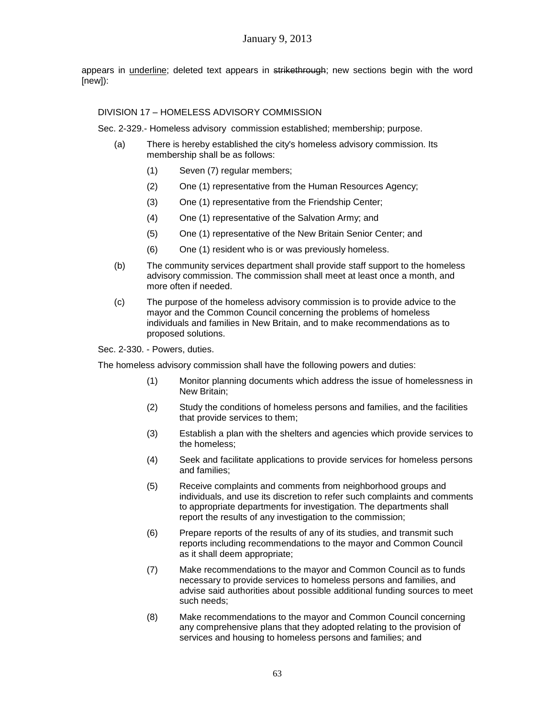appears in *underline*; deleted text appears in strikethrough; new sections begin with the word [new]):

## DIVISION 17 – HOMELESS ADVISORY COMMISSION

Sec. 2-329.- Homeless advisory commission established; membership; purpose.

- (a) There is hereby established the city's homeless advisory commission. Its membership shall be as follows:
	- (1) Seven (7) regular members;
	- (2) One (1) representative from the Human Resources Agency;
	- (3) One (1) representative from the Friendship Center;
	- (4) One (1) representative of the Salvation Army; and
	- (5) One (1) representative of the New Britain Senior Center; and
	- (6) One (1) resident who is or was previously homeless.
- (b) The community services department shall provide staff support to the homeless advisory commission. The commission shall meet at least once a month, and more often if needed.
- (c) The purpose of the homeless advisory commission is to provide advice to the mayor and the Common Council concerning the problems of homeless individuals and families in New Britain, and to make recommendations as to proposed solutions.

Sec. 2-330. - Powers, duties.

The homeless advisory commission shall have the following powers and duties:

- (1) Monitor planning documents which address the issue of homelessness in New Britain;
- (2) Study the conditions of homeless persons and families, and the facilities that provide services to them;
- (3) Establish a plan with the shelters and agencies which provide services to the homeless;
- (4) Seek and facilitate applications to provide services for homeless persons and families;
- (5) Receive complaints and comments from neighborhood groups and individuals, and use its discretion to refer such complaints and comments to appropriate departments for investigation. The departments shall report the results of any investigation to the commission;
- (6) Prepare reports of the results of any of its studies, and transmit such reports including recommendations to the mayor and Common Council as it shall deem appropriate;
- (7) Make recommendations to the mayor and Common Council as to funds necessary to provide services to homeless persons and families, and advise said authorities about possible additional funding sources to meet such needs;
- (8) Make recommendations to the mayor and Common Council concerning any comprehensive plans that they adopted relating to the provision of services and housing to homeless persons and families; and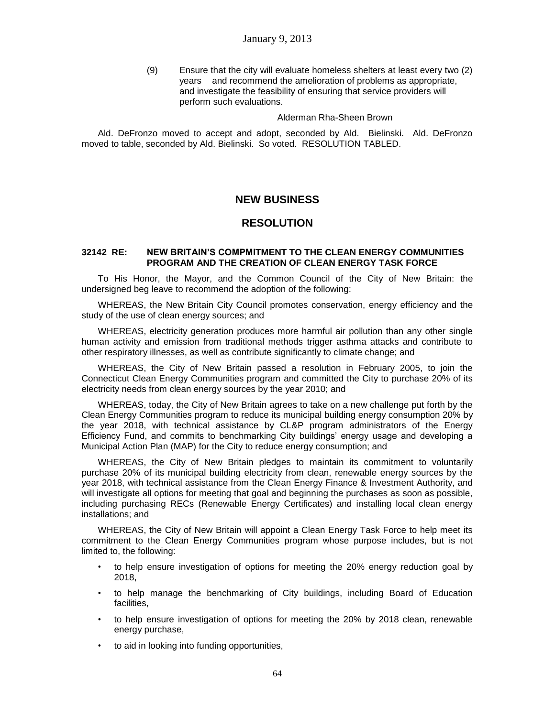(9) Ensure that the city will evaluate homeless shelters at least every two (2) years and recommend the amelioration of problems as appropriate, and investigate the feasibility of ensuring that service providers will perform such evaluations.

Alderman Rha-Sheen Brown

Ald. DeFronzo moved to accept and adopt, seconded by Ald. Bielinski. Ald. DeFronzo moved to table, seconded by Ald. Bielinski. So voted. RESOLUTION TABLED.

# **NEW BUSINESS**

## **RESOLUTION**

### **32142 RE: NEW BRITAIN'S COMPMITMENT TO THE CLEAN ENERGY COMMUNITIES PROGRAM AND THE CREATION OF CLEAN ENERGY TASK FORCE**

To His Honor, the Mayor, and the Common Council of the City of New Britain: the undersigned beg leave to recommend the adoption of the following:

WHEREAS, the New Britain City Council promotes conservation, energy efficiency and the study of the use of clean energy sources; and

WHEREAS, electricity generation produces more harmful air pollution than any other single human activity and emission from traditional methods trigger asthma attacks and contribute to other respiratory illnesses, as well as contribute significantly to climate change; and

WHEREAS, the City of New Britain passed a resolution in February 2005, to join the Connecticut Clean Energy Communities program and committed the City to purchase 20% of its electricity needs from clean energy sources by the year 2010; and

WHEREAS, today, the City of New Britain agrees to take on a new challenge put forth by the Clean Energy Communities program to reduce its municipal building energy consumption 20% by the year 2018, with technical assistance by CL&P program administrators of the Energy Efficiency Fund, and commits to benchmarking City buildings' energy usage and developing a Municipal Action Plan (MAP) for the City to reduce energy consumption; and

WHEREAS, the City of New Britain pledges to maintain its commitment to voluntarily purchase 20% of its municipal building electricity from clean, renewable energy sources by the year 2018, with technical assistance from the Clean Energy Finance & Investment Authority, and will investigate all options for meeting that goal and beginning the purchases as soon as possible, including purchasing RECs (Renewable Energy Certificates) and installing local clean energy installations; and

WHEREAS, the City of New Britain will appoint a Clean Energy Task Force to help meet its commitment to the Clean Energy Communities program whose purpose includes, but is not limited to, the following:

- to help ensure investigation of options for meeting the 20% energy reduction goal by 2018,
- to help manage the benchmarking of City buildings, including Board of Education facilities,
- to help ensure investigation of options for meeting the 20% by 2018 clean, renewable energy purchase,
- to aid in looking into funding opportunities,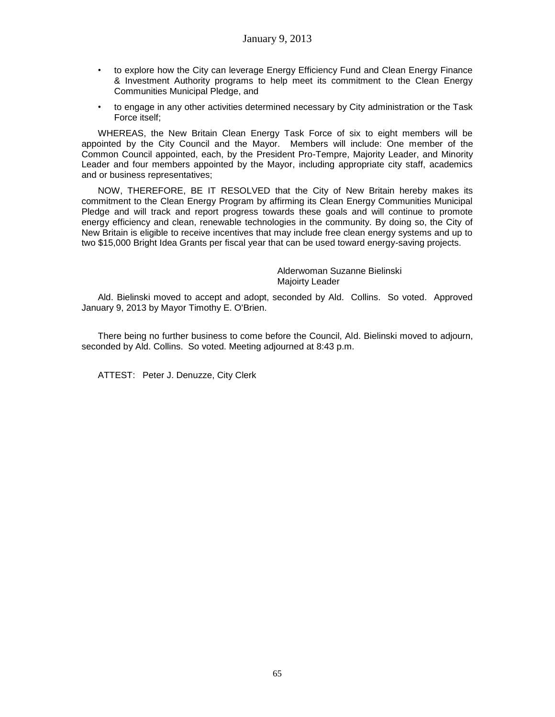- to explore how the City can leverage Energy Efficiency Fund and Clean Energy Finance & Investment Authority programs to help meet its commitment to the Clean Energy Communities Municipal Pledge, and
- to engage in any other activities determined necessary by City administration or the Task Force itself;

WHEREAS, the New Britain Clean Energy Task Force of six to eight members will be appointed by the City Council and the Mayor. Members will include: One member of the Common Council appointed, each, by the President Pro-Tempre, Majority Leader, and Minority Leader and four members appointed by the Mayor, including appropriate city staff, academics and or business representatives;

NOW, THEREFORE, BE IT RESOLVED that the City of New Britain hereby makes its commitment to the Clean Energy Program by affirming its Clean Energy Communities Municipal Pledge and will track and report progress towards these goals and will continue to promote energy efficiency and clean, renewable technologies in the community. By doing so, the City of New Britain is eligible to receive incentives that may include free clean energy systems and up to two \$15,000 Bright Idea Grants per fiscal year that can be used toward energy-saving projects.

> Alderwoman Suzanne Bielinski Majoirty Leader

Ald. Bielinski moved to accept and adopt, seconded by Ald. Collins. So voted. Approved January 9, 2013 by Mayor Timothy E. O'Brien.

There being no further business to come before the Council, Ald. Bielinski moved to adjourn, seconded by Ald. Collins. So voted. Meeting adjourned at 8:43 p.m.

ATTEST: Peter J. Denuzze, City Clerk